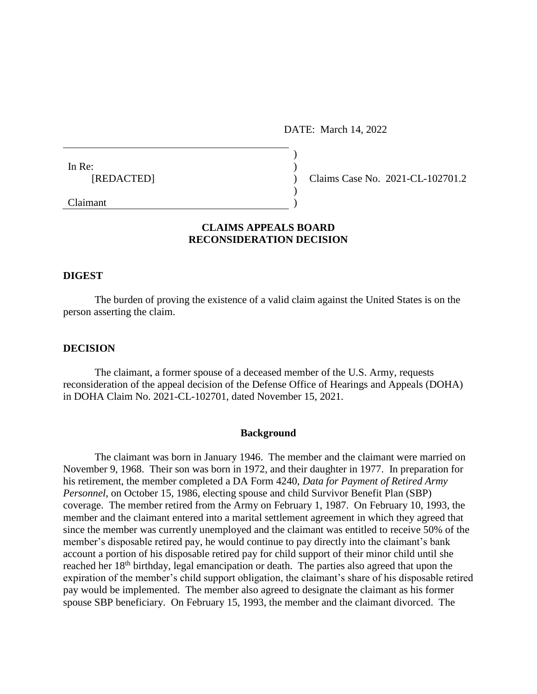DATE: March 14, 2022

| In Re:     |            |
|------------|------------|
| [REDACTED] | Claims Cas |
|            |            |
| Claimant   |            |

e No. 2021-CL-102701.2

# **CLAIMS APPEALS BOARD RECONSIDERATION DECISION**

#### **DIGEST**

The burden of proving the existence of a valid claim against the United States is on the person asserting the claim.

#### **DECISION**

The claimant, a former spouse of a deceased member of the U.S. Army, requests reconsideration of the appeal decision of the Defense Office of Hearings and Appeals (DOHA) in DOHA Claim No. 2021-CL-102701, dated November 15, 2021.

#### **Background**

The claimant was born in January 1946. The member and the claimant were married on November 9, 1968. Their son was born in 1972, and their daughter in 1977. In preparation for his retirement, the member completed a DA Form 4240, *Data for Payment of Retired Army Personnel*, on October 15, 1986, electing spouse and child Survivor Benefit Plan (SBP) coverage. The member retired from the Army on February 1, 1987. On February 10, 1993, the member and the claimant entered into a marital settlement agreement in which they agreed that since the member was currently unemployed and the claimant was entitled to receive 50% of the member's disposable retired pay, he would continue to pay directly into the claimant's bank account a portion of his disposable retired pay for child support of their minor child until she reached her 18<sup>th</sup> birthday, legal emancipation or death. The parties also agreed that upon the expiration of the member's child support obligation, the claimant's share of his disposable retired pay would be implemented. The member also agreed to designate the claimant as his former spouse SBP beneficiary. On February 15, 1993, the member and the claimant divorced. The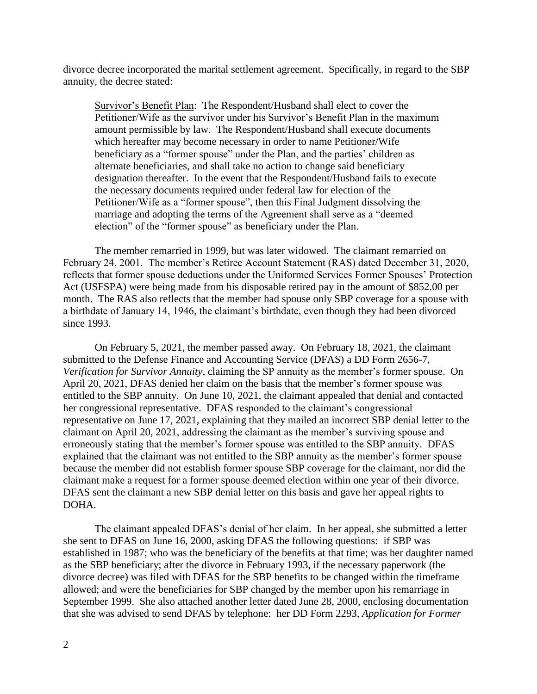divorce decree incorporated the marital settlement agreement. Specifically, in regard to the SBP annuity, the decree stated:

Survivor's Benefit Plan: The Respondent/Husband shall elect to cover the Petitioner/Wife as the survivor under his Survivor's Benefit Plan in the maximum amount permissible by law. The Respondent/Husband shall execute documents which hereafter may become necessary in order to name Petitioner/Wife beneficiary as a "former spouse" under the Plan, and the parties' children as alternate beneficiaries, and shall take no action to change said beneficiary designation thereafter. In the event that the Respondent/Husband fails to execute the necessary documents required under federal law for election of the Petitioner/Wife as a "former spouse", then this Final Judgment dissolving the marriage and adopting the terms of the Agreement shall serve as a "deemed election" of the "former spouse" as beneficiary under the Plan.

The member remarried in 1999, but was later widowed. The claimant remarried on February 24, 2001. The member's Retiree Account Statement (RAS) dated December 31, 2020, reflects that former spouse deductions under the Uniformed Services Former Spouses' Protection Act (USFSPA) were being made from his disposable retired pay in the amount of \$852.00 per month. The RAS also reflects that the member had spouse only SBP coverage for a spouse with a birthdate of January 14, 1946, the claimant's birthdate, even though they had been divorced since 1993.

On February 5, 2021, the member passed away. On February 18, 2021, the claimant submitted to the Defense Finance and Accounting Service (DFAS) a DD Form 2656-7, *Verification for Survivor Annuity*, claiming the SP annuity as the member's former spouse. On April 20, 2021, DFAS denied her claim on the basis that the member's former spouse was entitled to the SBP annuity. On June 10, 2021, the claimant appealed that denial and contacted her congressional representative. DFAS responded to the claimant's congressional representative on June 17, 2021, explaining that they mailed an incorrect SBP denial letter to the claimant on April 20, 2021, addressing the claimant as the member's surviving spouse and erroneously stating that the member's former spouse was entitled to the SBP annuity. DFAS explained that the claimant was not entitled to the SBP annuity as the member's former spouse because the member did not establish former spouse SBP coverage for the claimant, nor did the claimant make a request for a former spouse deemed election within one year of their divorce. DFAS sent the claimant a new SBP denial letter on this basis and gave her appeal rights to DOHA.

The claimant appealed DFAS's denial of her claim. In her appeal, she submitted a letter she sent to DFAS on June 16, 2000, asking DFAS the following questions: if SBP was established in 1987; who was the beneficiary of the benefits at that time; was her daughter named as the SBP beneficiary; after the divorce in February 1993, if the necessary paperwork (the divorce decree) was filed with DFAS for the SBP benefits to be changed within the timeframe allowed; and were the beneficiaries for SBP changed by the member upon his remarriage in September 1999. She also attached another letter dated June 28, 2000, enclosing documentation that she was advised to send DFAS by telephone: her DD Form 2293, *Application for Former*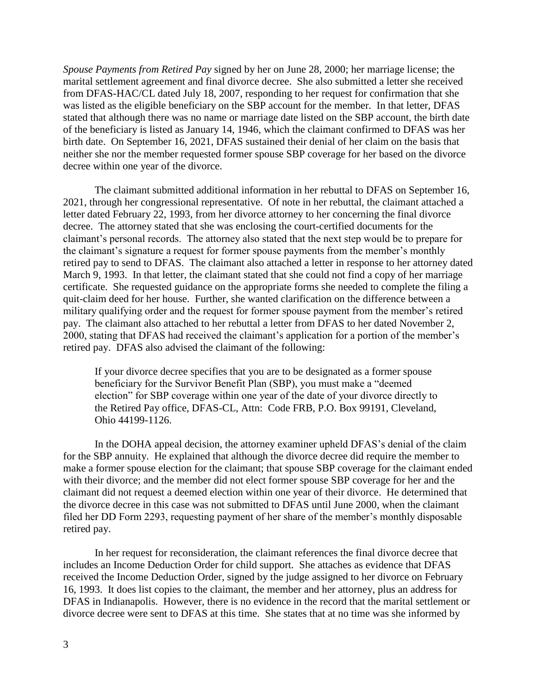*Spouse Payments from Retired Pay* signed by her on June 28, 2000; her marriage license; the marital settlement agreement and final divorce decree. She also submitted a letter she received from DFAS-HAC/CL dated July 18, 2007, responding to her request for confirmation that she was listed as the eligible beneficiary on the SBP account for the member. In that letter, DFAS stated that although there was no name or marriage date listed on the SBP account, the birth date of the beneficiary is listed as January 14, 1946, which the claimant confirmed to DFAS was her birth date. On September 16, 2021, DFAS sustained their denial of her claim on the basis that neither she nor the member requested former spouse SBP coverage for her based on the divorce decree within one year of the divorce.

The claimant submitted additional information in her rebuttal to DFAS on September 16, 2021, through her congressional representative. Of note in her rebuttal, the claimant attached a letter dated February 22, 1993, from her divorce attorney to her concerning the final divorce decree. The attorney stated that she was enclosing the court-certified documents for the claimant's personal records. The attorney also stated that the next step would be to prepare for the claimant's signature a request for former spouse payments from the member's monthly retired pay to send to DFAS. The claimant also attached a letter in response to her attorney dated March 9, 1993. In that letter, the claimant stated that she could not find a copy of her marriage certificate. She requested guidance on the appropriate forms she needed to complete the filing a quit-claim deed for her house. Further, she wanted clarification on the difference between a military qualifying order and the request for former spouse payment from the member's retired pay. The claimant also attached to her rebuttal a letter from DFAS to her dated November 2, 2000, stating that DFAS had received the claimant's application for a portion of the member's retired pay. DFAS also advised the claimant of the following:

If your divorce decree specifies that you are to be designated as a former spouse beneficiary for the Survivor Benefit Plan (SBP), you must make a "deemed election" for SBP coverage within one year of the date of your divorce directly to the Retired Pay office, DFAS-CL, Attn: Code FRB, P.O. Box 99191, Cleveland, Ohio 44199-1126.

In the DOHA appeal decision, the attorney examiner upheld DFAS's denial of the claim for the SBP annuity. He explained that although the divorce decree did require the member to make a former spouse election for the claimant; that spouse SBP coverage for the claimant ended with their divorce; and the member did not elect former spouse SBP coverage for her and the claimant did not request a deemed election within one year of their divorce. He determined that the divorce decree in this case was not submitted to DFAS until June 2000, when the claimant filed her DD Form 2293, requesting payment of her share of the member's monthly disposable retired pay.

In her request for reconsideration, the claimant references the final divorce decree that includes an Income Deduction Order for child support. She attaches as evidence that DFAS received the Income Deduction Order, signed by the judge assigned to her divorce on February 16, 1993. It does list copies to the claimant, the member and her attorney, plus an address for DFAS in Indianapolis. However, there is no evidence in the record that the marital settlement or divorce decree were sent to DFAS at this time. She states that at no time was she informed by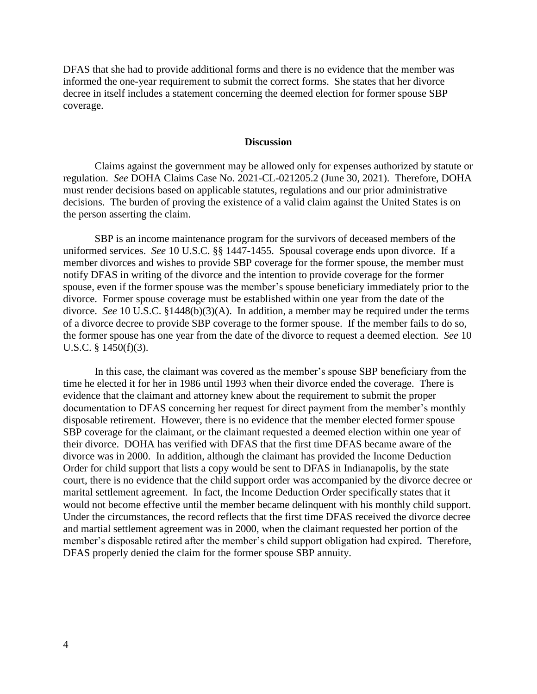DFAS that she had to provide additional forms and there is no evidence that the member was informed the one-year requirement to submit the correct forms. She states that her divorce decree in itself includes a statement concerning the deemed election for former spouse SBP coverage.

### **Discussion**

Claims against the government may be allowed only for expenses authorized by statute or regulation. *See* DOHA Claims Case No. 2021-CL-021205.2 (June 30, 2021). Therefore, DOHA must render decisions based on applicable statutes, regulations and our prior administrative decisions. The burden of proving the existence of a valid claim against the United States is on the person asserting the claim.

SBP is an income maintenance program for the survivors of deceased members of the uniformed services. *See* 10 U.S.C. §§ 1447-1455. Spousal coverage ends upon divorce. If a member divorces and wishes to provide SBP coverage for the former spouse, the member must notify DFAS in writing of the divorce and the intention to provide coverage for the former spouse, even if the former spouse was the member's spouse beneficiary immediately prior to the divorce. Former spouse coverage must be established within one year from the date of the divorce. *See* 10 U.S.C. §1448(b)(3)(A). In addition, a member may be required under the terms of a divorce decree to provide SBP coverage to the former spouse. If the member fails to do so, the former spouse has one year from the date of the divorce to request a deemed election. *See* 10 U.S.C. § 1450(f)(3).

In this case, the claimant was covered as the member's spouse SBP beneficiary from the time he elected it for her in 1986 until 1993 when their divorce ended the coverage. There is evidence that the claimant and attorney knew about the requirement to submit the proper documentation to DFAS concerning her request for direct payment from the member's monthly disposable retirement. However, there is no evidence that the member elected former spouse SBP coverage for the claimant, or the claimant requested a deemed election within one year of their divorce. DOHA has verified with DFAS that the first time DFAS became aware of the divorce was in 2000. In addition, although the claimant has provided the Income Deduction Order for child support that lists a copy would be sent to DFAS in Indianapolis, by the state court, there is no evidence that the child support order was accompanied by the divorce decree or marital settlement agreement. In fact, the Income Deduction Order specifically states that it would not become effective until the member became delinquent with his monthly child support. Under the circumstances, the record reflects that the first time DFAS received the divorce decree and martial settlement agreement was in 2000, when the claimant requested her portion of the member's disposable retired after the member's child support obligation had expired. Therefore, DFAS properly denied the claim for the former spouse SBP annuity.